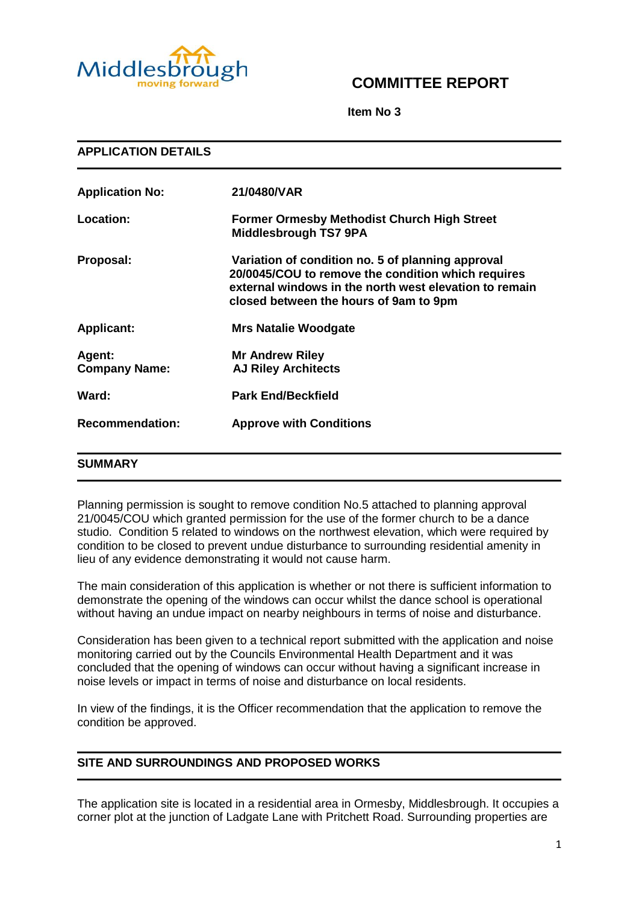

# **COMMITTEE REPORT**

**Item No 3**

| <b>APPLICATION DETAILS</b>     |                                                                                                                                                                                                             |
|--------------------------------|-------------------------------------------------------------------------------------------------------------------------------------------------------------------------------------------------------------|
| <b>Application No:</b>         | 21/0480/VAR                                                                                                                                                                                                 |
| Location:                      | <b>Former Ormesby Methodist Church High Street</b><br><b>Middlesbrough TS7 9PA</b>                                                                                                                          |
| Proposal:                      | Variation of condition no. 5 of planning approval<br>20/0045/COU to remove the condition which requires<br>external windows in the north west elevation to remain<br>closed between the hours of 9am to 9pm |
| <b>Applicant:</b>              | <b>Mrs Natalie Woodgate</b>                                                                                                                                                                                 |
| Agent:<br><b>Company Name:</b> | <b>Mr Andrew Riley</b><br><b>AJ Riley Architects</b>                                                                                                                                                        |
| Ward:                          | <b>Park End/Beckfield</b>                                                                                                                                                                                   |
| <b>Recommendation:</b>         | <b>Approve with Conditions</b>                                                                                                                                                                              |
| SUMMARY                        |                                                                                                                                                                                                             |

Planning permission is sought to remove condition No.5 attached to planning approval 21/0045/COU which granted permission for the use of the former church to be a dance studio. Condition 5 related to windows on the northwest elevation, which were required by condition to be closed to prevent undue disturbance to surrounding residential amenity in lieu of any evidence demonstrating it would not cause harm.

The main consideration of this application is whether or not there is sufficient information to demonstrate the opening of the windows can occur whilst the dance school is operational without having an undue impact on nearby neighbours in terms of noise and disturbance.

Consideration has been given to a technical report submitted with the application and noise monitoring carried out by the Councils Environmental Health Department and it was concluded that the opening of windows can occur without having a significant increase in noise levels or impact in terms of noise and disturbance on local residents.

In view of the findings, it is the Officer recommendation that the application to remove the condition be approved.

# **SITE AND SURROUNDINGS AND PROPOSED WORKS**

The application site is located in a residential area in Ormesby, Middlesbrough. It occupies a corner plot at the junction of Ladgate Lane with Pritchett Road. Surrounding properties are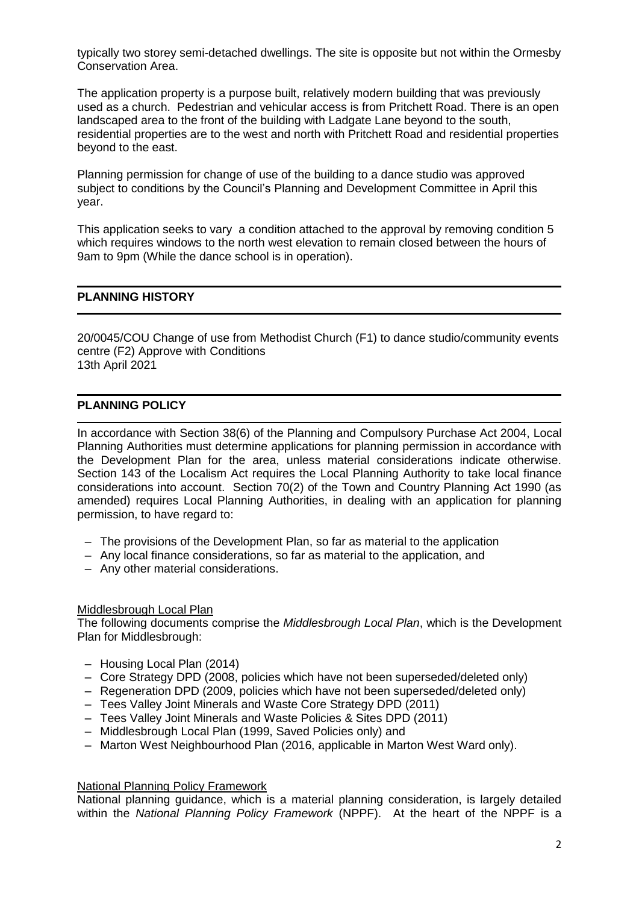typically two storey semi-detached dwellings. The site is opposite but not within the Ormesby Conservation Area.

The application property is a purpose built, relatively modern building that was previously used as a church. Pedestrian and vehicular access is from Pritchett Road. There is an open landscaped area to the front of the building with Ladgate Lane beyond to the south, residential properties are to the west and north with Pritchett Road and residential properties beyond to the east.

Planning permission for change of use of the building to a dance studio was approved subject to conditions by the Council's Planning and Development Committee in April this year.

This application seeks to vary a condition attached to the approval by removing condition 5 which requires windows to the north west elevation to remain closed between the hours of 9am to 9pm (While the dance school is in operation).

# **PLANNING HISTORY**

20/0045/COU Change of use from Methodist Church (F1) to dance studio/community events centre (F2) Approve with Conditions 13th April 2021

### **PLANNING POLICY**

In accordance with Section 38(6) of the Planning and Compulsory Purchase Act 2004, Local Planning Authorities must determine applications for planning permission in accordance with the Development Plan for the area, unless material considerations indicate otherwise. Section 143 of the Localism Act requires the Local Planning Authority to take local finance considerations into account. Section 70(2) of the Town and Country Planning Act 1990 (as amended) requires Local Planning Authorities, in dealing with an application for planning permission, to have regard to:

- The provisions of the Development Plan, so far as material to the application
- Any local finance considerations, so far as material to the application, and
- Any other material considerations.

#### Middlesbrough Local Plan

The following documents comprise the *Middlesbrough Local Plan*, which is the Development Plan for Middlesbrough:

- Housing Local Plan (2014)
- Core Strategy DPD (2008, policies which have not been superseded/deleted only)
- Regeneration DPD (2009, policies which have not been superseded/deleted only)
- Tees Valley Joint Minerals and Waste Core Strategy DPD (2011)
- Tees Valley Joint Minerals and Waste Policies & Sites DPD (2011)
- Middlesbrough Local Plan (1999, Saved Policies only) and
- Marton West Neighbourhood Plan (2016, applicable in Marton West Ward only).

#### National Planning Policy Framework

National planning guidance, which is a material planning consideration, is largely detailed within the *National Planning Policy Framework* (NPPF). At the heart of the NPPF is a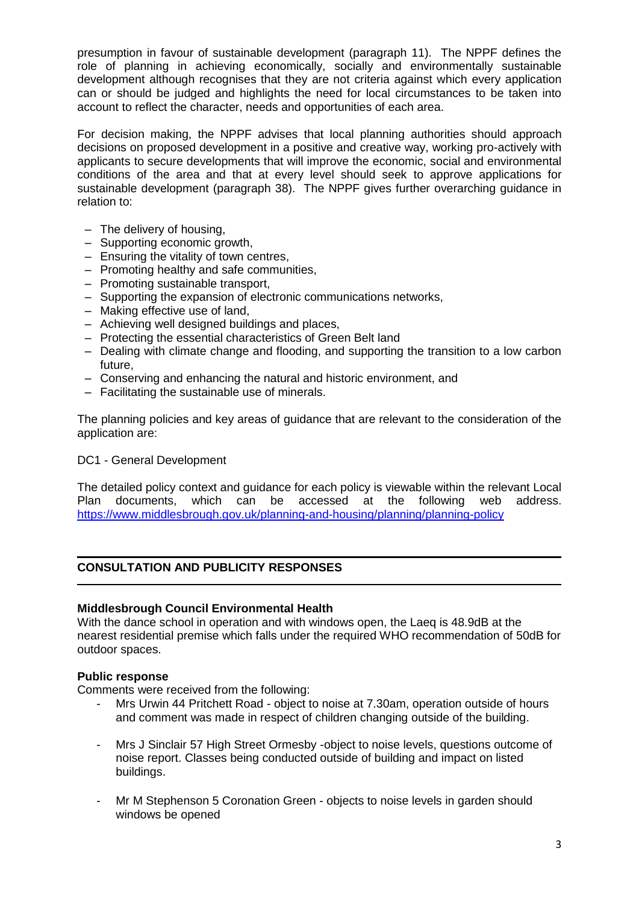presumption in favour of sustainable development (paragraph 11). The NPPF defines the role of planning in achieving economically, socially and environmentally sustainable development although recognises that they are not criteria against which every application can or should be judged and highlights the need for local circumstances to be taken into account to reflect the character, needs and opportunities of each area.

For decision making, the NPPF advises that local planning authorities should approach decisions on proposed development in a positive and creative way, working pro-actively with applicants to secure developments that will improve the economic, social and environmental conditions of the area and that at every level should seek to approve applications for sustainable development (paragraph 38). The NPPF gives further overarching guidance in relation to:

- The delivery of housing,
- Supporting economic growth,
- Ensuring the vitality of town centres,
- Promoting healthy and safe communities,
- Promoting sustainable transport,
- Supporting the expansion of electronic communications networks,
- Making effective use of land,
- Achieving well designed buildings and places,
- Protecting the essential characteristics of Green Belt land
- Dealing with climate change and flooding, and supporting the transition to a low carbon future,
- Conserving and enhancing the natural and historic environment, and
- Facilitating the sustainable use of minerals.

The planning policies and key areas of guidance that are relevant to the consideration of the application are:

# DC1 - General Development

The detailed policy context and guidance for each policy is viewable within the relevant Local Plan documents, which can be accessed at the following web address. <https://www.middlesbrough.gov.uk/planning-and-housing/planning/planning-policy>

# **CONSULTATION AND PUBLICITY RESPONSES**

# **Middlesbrough Council Environmental Health**

With the dance school in operation and with windows open, the Laeq is 48.9dB at the nearest residential premise which falls under the required WHO recommendation of 50dB for outdoor spaces.

# **Public response**

Comments were received from the following:

- Mrs Urwin 44 Pritchett Road object to noise at 7.30am, operation outside of hours and comment was made in respect of children changing outside of the building.
- Mrs J Sinclair 57 High Street Ormesby -object to noise levels, questions outcome of noise report. Classes being conducted outside of building and impact on listed buildings.
- Mr M Stephenson 5 Coronation Green objects to noise levels in garden should windows be opened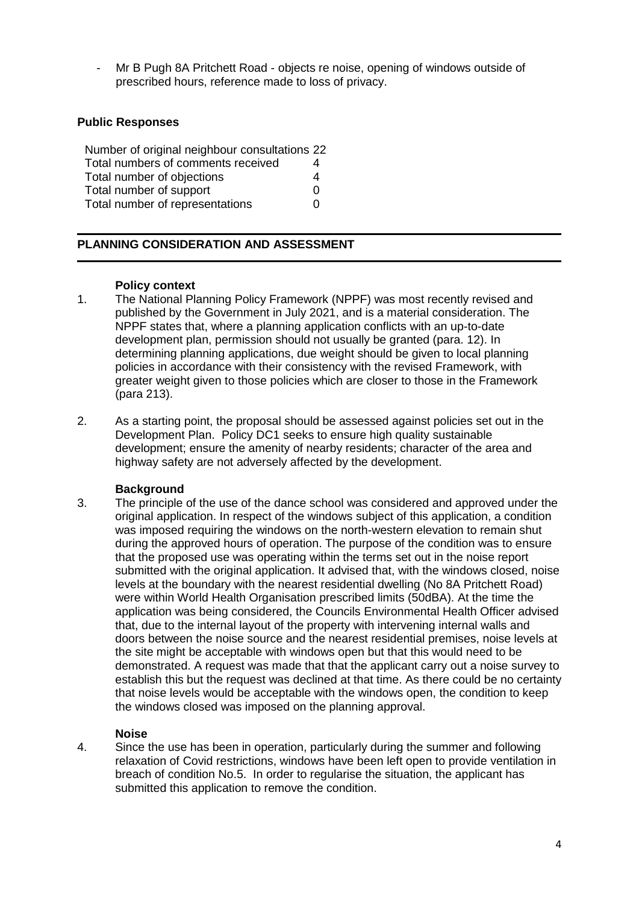- Mr B Pugh 8A Pritchett Road - objects re noise, opening of windows outside of prescribed hours, reference made to loss of privacy.

# **Public Responses**

| Number of original neighbour consultations 22 |   |
|-----------------------------------------------|---|
| Total numbers of comments received            | 4 |
| Total number of objections                    | 4 |
| Total number of support                       | O |
| Total number of representations               | O |

# **PLANNING CONSIDERATION AND ASSESSMENT**

#### **Policy context**

- 1. The National Planning Policy Framework (NPPF) was most recently revised and published by the Government in July 2021, and is a material consideration. The NPPF states that, where a planning application conflicts with an up-to-date development plan, permission should not usually be granted (para. 12). In determining planning applications, due weight should be given to local planning policies in accordance with their consistency with the revised Framework, with greater weight given to those policies which are closer to those in the Framework (para 213).
- 2. As a starting point, the proposal should be assessed against policies set out in the Development Plan. Policy DC1 seeks to ensure high quality sustainable development; ensure the amenity of nearby residents; character of the area and highway safety are not adversely affected by the development.

#### **Background**

3. The principle of the use of the dance school was considered and approved under the original application. In respect of the windows subject of this application, a condition was imposed requiring the windows on the north-western elevation to remain shut during the approved hours of operation. The purpose of the condition was to ensure that the proposed use was operating within the terms set out in the noise report submitted with the original application. It advised that, with the windows closed, noise levels at the boundary with the nearest residential dwelling (No 8A Pritchett Road) were within World Health Organisation prescribed limits (50dBA). At the time the application was being considered, the Councils Environmental Health Officer advised that, due to the internal layout of the property with intervening internal walls and doors between the noise source and the nearest residential premises, noise levels at the site might be acceptable with windows open but that this would need to be demonstrated. A request was made that that the applicant carry out a noise survey to establish this but the request was declined at that time. As there could be no certainty that noise levels would be acceptable with the windows open, the condition to keep the windows closed was imposed on the planning approval.

# **Noise**

4. Since the use has been in operation, particularly during the summer and following relaxation of Covid restrictions, windows have been left open to provide ventilation in breach of condition No.5. In order to regularise the situation, the applicant has submitted this application to remove the condition.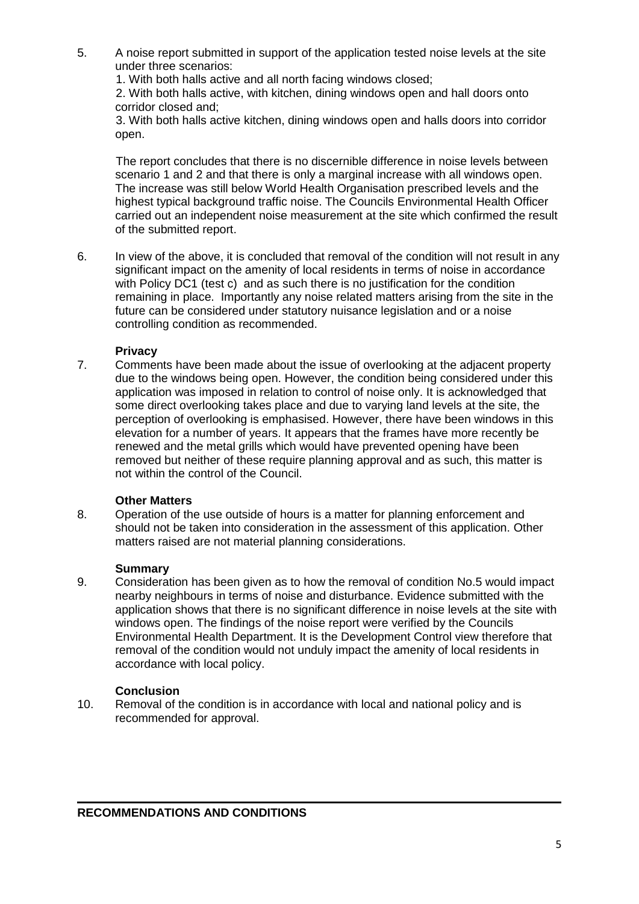5. A noise report submitted in support of the application tested noise levels at the site under three scenarios:

1. With both halls active and all north facing windows closed;

2. With both halls active, with kitchen, dining windows open and hall doors onto corridor closed and;

3. With both halls active kitchen, dining windows open and halls doors into corridor open.

The report concludes that there is no discernible difference in noise levels between scenario 1 and 2 and that there is only a marginal increase with all windows open. The increase was still below World Health Organisation prescribed levels and the highest typical background traffic noise. The Councils Environmental Health Officer carried out an independent noise measurement at the site which confirmed the result of the submitted report.

6. In view of the above, it is concluded that removal of the condition will not result in any significant impact on the amenity of local residents in terms of noise in accordance with Policy DC1 (test c) and as such there is no justification for the condition remaining in place. Importantly any noise related matters arising from the site in the future can be considered under statutory nuisance legislation and or a noise controlling condition as recommended.

# **Privacy**

7. Comments have been made about the issue of overlooking at the adjacent property due to the windows being open. However, the condition being considered under this application was imposed in relation to control of noise only. It is acknowledged that some direct overlooking takes place and due to varying land levels at the site, the perception of overlooking is emphasised. However, there have been windows in this elevation for a number of years. It appears that the frames have more recently be renewed and the metal grills which would have prevented opening have been removed but neither of these require planning approval and as such, this matter is not within the control of the Council.

# **Other Matters**

8. Operation of the use outside of hours is a matter for planning enforcement and should not be taken into consideration in the assessment of this application. Other matters raised are not material planning considerations.

# **Summary**

9. Consideration has been given as to how the removal of condition No.5 would impact nearby neighbours in terms of noise and disturbance. Evidence submitted with the application shows that there is no significant difference in noise levels at the site with windows open. The findings of the noise report were verified by the Councils Environmental Health Department. It is the Development Control view therefore that removal of the condition would not unduly impact the amenity of local residents in accordance with local policy.

# **Conclusion**

10. Removal of the condition is in accordance with local and national policy and is recommended for approval.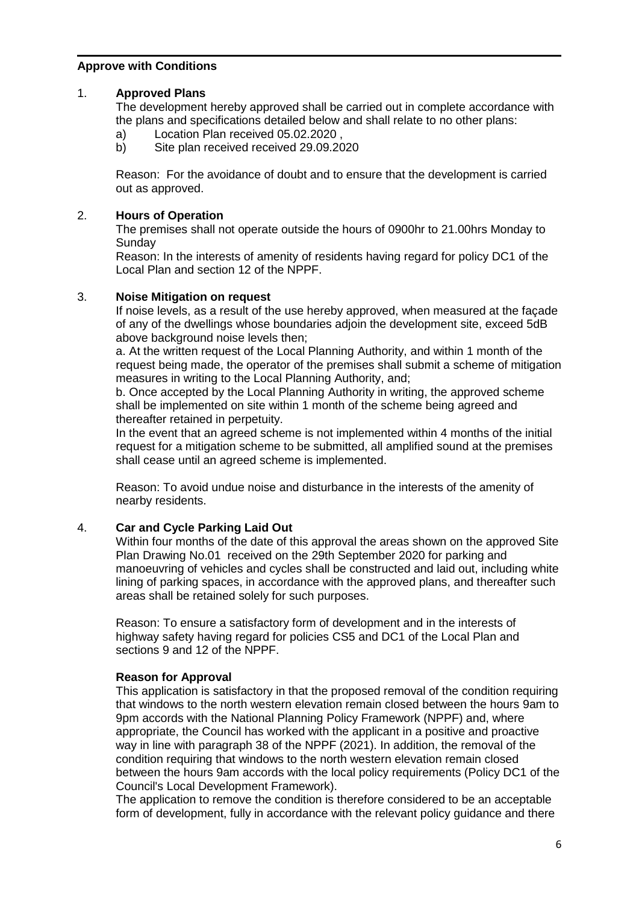# **Approve with Conditions**

# 1. **Approved Plans**

The development hereby approved shall be carried out in complete accordance with the plans and specifications detailed below and shall relate to no other plans:

- a) Location Plan received 05.02.2020 ,
- b) Site plan received received 29.09.2020

Reason: For the avoidance of doubt and to ensure that the development is carried out as approved.

# 2. **Hours of Operation**

The premises shall not operate outside the hours of 0900hr to 21.00hrs Monday to **Sunday** 

Reason: In the interests of amenity of residents having regard for policy DC1 of the Local Plan and section 12 of the NPPF.

# 3. **Noise Mitigation on request**

If noise levels, as a result of the use hereby approved, when measured at the façade of any of the dwellings whose boundaries adjoin the development site, exceed 5dB above background noise levels then;

a. At the written request of the Local Planning Authority, and within 1 month of the request being made, the operator of the premises shall submit a scheme of mitigation measures in writing to the Local Planning Authority, and;

b. Once accepted by the Local Planning Authority in writing, the approved scheme shall be implemented on site within 1 month of the scheme being agreed and thereafter retained in perpetuity.

In the event that an agreed scheme is not implemented within 4 months of the initial request for a mitigation scheme to be submitted, all amplified sound at the premises shall cease until an agreed scheme is implemented.

Reason: To avoid undue noise and disturbance in the interests of the amenity of nearby residents.

# 4. **Car and Cycle Parking Laid Out**

Within four months of the date of this approval the areas shown on the approved Site Plan Drawing No.01 received on the 29th September 2020 for parking and manoeuvring of vehicles and cycles shall be constructed and laid out, including white lining of parking spaces, in accordance with the approved plans, and thereafter such areas shall be retained solely for such purposes.

Reason: To ensure a satisfactory form of development and in the interests of highway safety having regard for policies CS5 and DC1 of the Local Plan and sections 9 and 12 of the NPPF.

# **Reason for Approval**

This application is satisfactory in that the proposed removal of the condition requiring that windows to the north western elevation remain closed between the hours 9am to 9pm accords with the National Planning Policy Framework (NPPF) and, where appropriate, the Council has worked with the applicant in a positive and proactive way in line with paragraph 38 of the NPPF (2021). In addition, the removal of the condition requiring that windows to the north western elevation remain closed between the hours 9am accords with the local policy requirements (Policy DC1 of the Council's Local Development Framework).

The application to remove the condition is therefore considered to be an acceptable form of development, fully in accordance with the relevant policy guidance and there